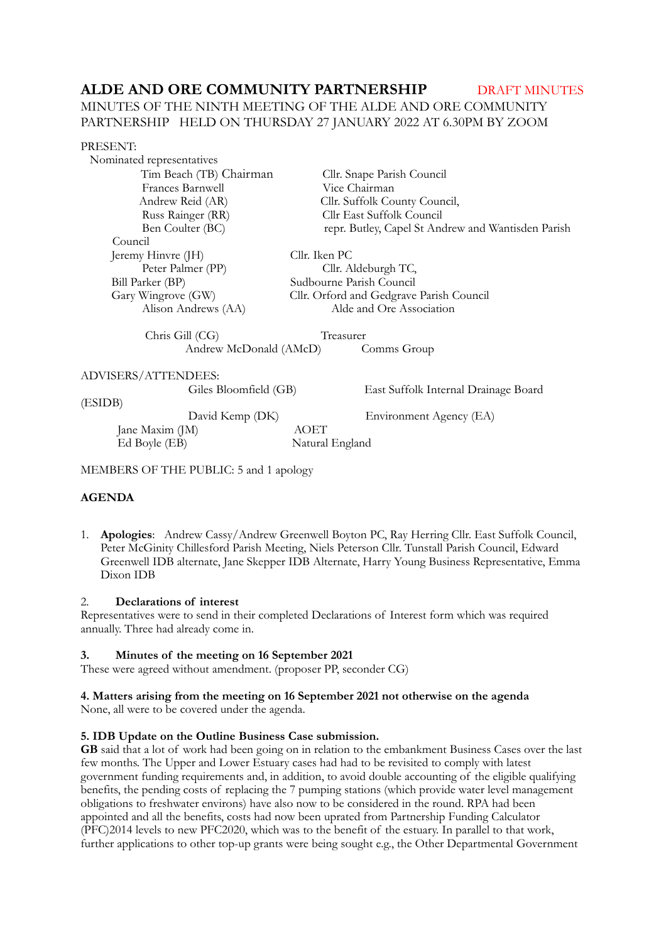# ALDE AND ORE COMMUNITY PARTNERSHIP DRAFT MINUTES

# MINUTES OF THE NINTH MEETING OF THE ALDE AND ORE COMMUNITY PARTNERSHIP HELD ON THURSDAY 27 JANUARY 2022 AT 6.30PM BY ZOOM

### PRESENT:

 Nominated representatives Tim Beach (TB) ChairmanCllr. Snape Parish Council Frances Barnwell Vice Chairman<br>Andrew Reid (AR) Cllr. Suffolk Co Russ Rainger (RR) Cllr East Suffolk Council Council Jeremy Hinvre (JH) Cllr. Iken PC<br>Peter Palmer (PP) Cllr. A Bill Parker (BP) Sudbourne Parish Council

Cllr. Suffolk County Council, Ben Coulter (BC) repr. Butley, Capel St Andrew and Wantisden Parish

Cllr. Aldeburgh TC,

Gary Wingrove (GW) Cllr. Orford and Gedgrave Parish Council Alison Andrews (AA) Alde and Ore Association

 Chris Gill (CG) Treasurer Andrew McDonald (AMcD) Comms Group

# ADVISERS/ATTENDEES:

(ESIDB)

 Jane Maxim (JM) AOET Ed Boyle (EB) Natural England

Giles Bloomfield (GB) East Suffolk Internal Drainage Board

David Kemp (DK) Environment Agency (EA)

MEMBERS OF THE PUBLIC: 5 and 1 apology

# **AGENDA**

1. **Apologies**: Andrew Cassy/Andrew Greenwell Boyton PC, Ray Herring Cllr. East Suffolk Council, Peter McGinity Chillesford Parish Meeting, Niels Peterson Cllr. Tunstall Parish Council, Edward Greenwell IDB alternate, Jane Skepper IDB Alternate, Harry Young Business Representative, Emma Dixon IDB

# 2. **Declarations of interest**

Representatives were to send in their completed Declarations of Interest form which was required annually. Three had already come in.

# **3. Minutes of the meeting on 16 September 2021**

These were agreed without amendment. (proposer PP, seconder CG)

# **4. Matters arising from the meeting on 16 September 2021 not otherwise on the agenda**

None, all were to be covered under the agenda.

# **5. IDB Update on the Outline Business Case submission.**

**GB** said that a lot of work had been going on in relation to the embankment Business Cases over the last few months. The Upper and Lower Estuary cases had had to be revisited to comply with latest government funding requirements and, in addition, to avoid double accounting of the eligible qualifying benefits, the pending costs of replacing the 7 pumping stations (which provide water level management obligations to freshwater environs) have also now to be considered in the round. RPA had been appointed and all the benefits, costs had now been uprated from Partnership Funding Calculator (PFC)2014 levels to new PFC2020, which was to the benefit of the estuary. In parallel to that work, further applications to other top-up grants were being sought e.g., the Other Departmental Government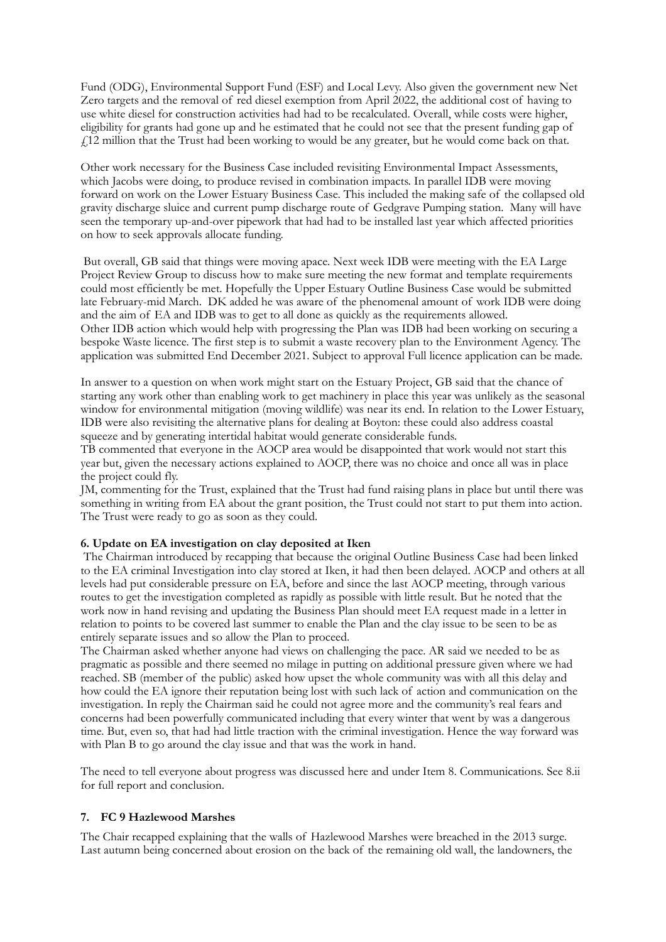Fund (ODG), Environmental Support Fund (ESF) and Local Levy. Also given the government new Net Zero targets and the removal of red diesel exemption from April 2022, the additional cost of having to use white diesel for construction activities had had to be recalculated. Overall, while costs were higher, eligibility for grants had gone up and he estimated that he could not see that the present funding gap of £12 million that the Trust had been working to would be any greater, but he would come back on that.

Other work necessary for the Business Case included revisiting Environmental Impact Assessments, which Jacobs were doing, to produce revised in combination impacts. In parallel IDB were moving forward on work on the Lower Estuary Business Case. This included the making safe of the collapsed old gravity discharge sluice and current pump discharge route of Gedgrave Pumping station. Many will have seen the temporary up-and-over pipework that had had to be installed last year which affected priorities on how to seek approvals allocate funding.

 But overall, GB said that things were moving apace. Next week IDB were meeting with the EA Large Project Review Group to discuss how to make sure meeting the new format and template requirements could most efficiently be met. Hopefully the Upper Estuary Outline Business Case would be submitted late February-mid March. DK added he was aware of the phenomenal amount of work IDB were doing and the aim of EA and IDB was to get to all done as quickly as the requirements allowed.

Other IDB action which would help with progressing the Plan was IDB had been working on securing a bespoke Waste licence. The first step is to submit a waste recovery plan to the Environment Agency. The application was submitted End December 2021. Subject to approval Full licence application can be made.

In answer to a question on when work might start on the Estuary Project, GB said that the chance of starting any work other than enabling work to get machinery in place this year was unlikely as the seasonal window for environmental mitigation (moving wildlife) was near its end. In relation to the Lower Estuary, IDB were also revisiting the alternative plans for dealing at Boyton: these could also address coastal squeeze and by generating intertidal habitat would generate considerable funds.

TB commented that everyone in the AOCP area would be disappointed that work would not start this year but, given the necessary actions explained to AOCP, there was no choice and once all was in place the project could fly.

JM, commenting for the Trust, explained that the Trust had fund raising plans in place but until there was something in writing from EA about the grant position, the Trust could not start to put them into action. The Trust were ready to go as soon as they could.

### **6. Update on EA investigation on clay deposited at Iken**

 The Chairman introduced by recapping that because the original Outline Business Case had been linked to the EA criminal Investigation into clay stored at Iken, it had then been delayed. AOCP and others at all levels had put considerable pressure on EA, before and since the last AOCP meeting, through various routes to get the investigation completed as rapidly as possible with little result. But he noted that the work now in hand revising and updating the Business Plan should meet EA request made in a letter in relation to points to be covered last summer to enable the Plan and the clay issue to be seen to be as entirely separate issues and so allow the Plan to proceed.

The Chairman asked whether anyone had views on challenging the pace. AR said we needed to be as pragmatic as possible and there seemed no milage in putting on additional pressure given where we had reached. SB (member of the public) asked how upset the whole community was with all this delay and how could the EA ignore their reputation being lost with such lack of action and communication on the investigation. In reply the Chairman said he could not agree more and the community's real fears and concerns had been powerfully communicated including that every winter that went by was a dangerous time. But, even so, that had had little traction with the criminal investigation. Hence the way forward was with Plan B to go around the clay issue and that was the work in hand.

The need to tell everyone about progress was discussed here and under Item 8. Communications. See 8.ii for full report and conclusion.

# **7. FC 9 Hazlewood Marshes**

The Chair recapped explaining that the walls of Hazlewood Marshes were breached in the 2013 surge. Last autumn being concerned about erosion on the back of the remaining old wall, the landowners, the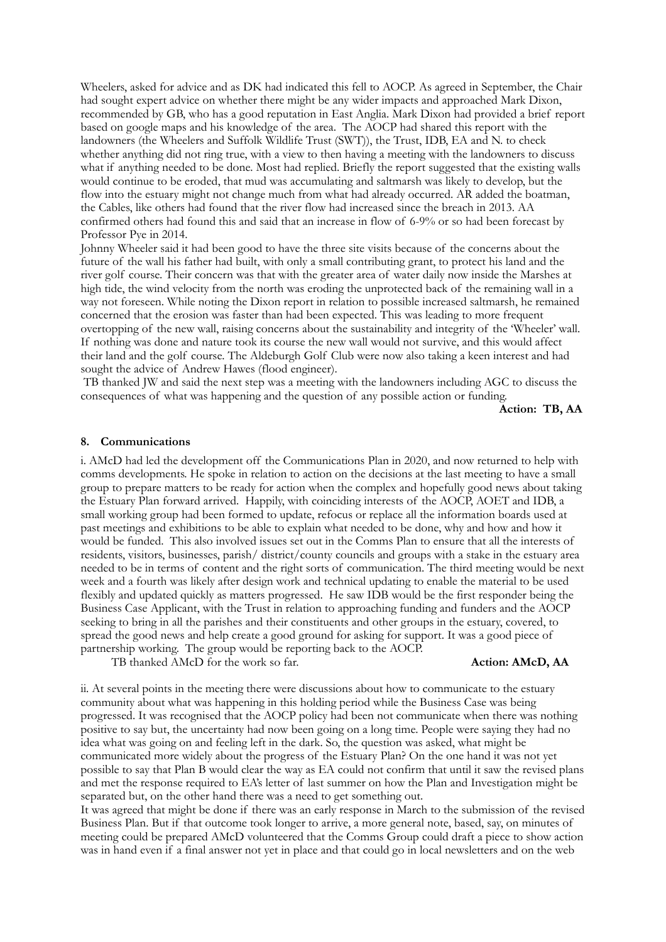Wheelers, asked for advice and as DK had indicated this fell to AOCP. As agreed in September, the Chair had sought expert advice on whether there might be any wider impacts and approached Mark Dixon, recommended by GB, who has a good reputation in East Anglia. Mark Dixon had provided a brief report based on google maps and his knowledge of the area. The AOCP had shared this report with the landowners (the Wheelers and Suffolk Wildlife Trust (SWT)), the Trust, IDB, EA and N. to check whether anything did not ring true, with a view to then having a meeting with the landowners to discuss what if anything needed to be done. Most had replied. Briefly the report suggested that the existing walls would continue to be eroded, that mud was accumulating and saltmarsh was likely to develop, but the flow into the estuary might not change much from what had already occurred. AR added the boatman, the Cables, like others had found that the river flow had increased since the breach in 2013. AA confirmed others had found this and said that an increase in flow of 6-9% or so had been forecast by Professor Pye in 2014.

Johnny Wheeler said it had been good to have the three site visits because of the concerns about the future of the wall his father had built, with only a small contributing grant, to protect his land and the river golf course. Their concern was that with the greater area of water daily now inside the Marshes at high tide, the wind velocity from the north was eroding the unprotected back of the remaining wall in a way not foreseen. While noting the Dixon report in relation to possible increased saltmarsh, he remained concerned that the erosion was faster than had been expected. This was leading to more frequent overtopping of the new wall, raising concerns about the sustainability and integrity of the 'Wheeler' wall. If nothing was done and nature took its course the new wall would not survive, and this would affect their land and the golf course. The Aldeburgh Golf Club were now also taking a keen interest and had sought the advice of Andrew Hawes (flood engineer).

 TB thanked JW and said the next step was a meeting with the landowners including AGC to discuss the consequences of what was happening and the question of any possible action or funding.

**Action: TB, AA** 

#### **8. Communications**

i. AMcD had led the development off the Communications Plan in 2020, and now returned to help with comms developments. He spoke in relation to action on the decisions at the last meeting to have a small group to prepare matters to be ready for action when the complex and hopefully good news about taking the Estuary Plan forward arrived. Happily, with coinciding interests of the AOCP, AOET and IDB, a small working group had been formed to update, refocus or replace all the information boards used at past meetings and exhibitions to be able to explain what needed to be done, why and how and how it would be funded. This also involved issues set out in the Comms Plan to ensure that all the interests of residents, visitors, businesses, parish/ district/county councils and groups with a stake in the estuary area needed to be in terms of content and the right sorts of communication. The third meeting would be next week and a fourth was likely after design work and technical updating to enable the material to be used flexibly and updated quickly as matters progressed. He saw IDB would be the first responder being the Business Case Applicant, with the Trust in relation to approaching funding and funders and the AOCP seeking to bring in all the parishes and their constituents and other groups in the estuary, covered, to spread the good news and help create a good ground for asking for support. It was a good piece of partnership working. The group would be reporting back to the AOCP.

TB thanked AMcD for the work so far. **Action: AMcD, AA** 

ii. At several points in the meeting there were discussions about how to communicate to the estuary community about what was happening in this holding period while the Business Case was being progressed. It was recognised that the AOCP policy had been not communicate when there was nothing positive to say but, the uncertainty had now been going on a long time. People were saying they had no idea what was going on and feeling left in the dark. So, the question was asked, what might be communicated more widely about the progress of the Estuary Plan? On the one hand it was not yet possible to say that Plan B would clear the way as EA could not confirm that until it saw the revised plans and met the response required to EA's letter of last summer on how the Plan and Investigation might be separated but, on the other hand there was a need to get something out.

It was agreed that might be done if there was an early response in March to the submission of the revised Business Plan. But if that outcome took longer to arrive, a more general note, based, say, on minutes of meeting could be prepared AMcD volunteered that the Comms Group could draft a piece to show action was in hand even if a final answer not yet in place and that could go in local newsletters and on the web